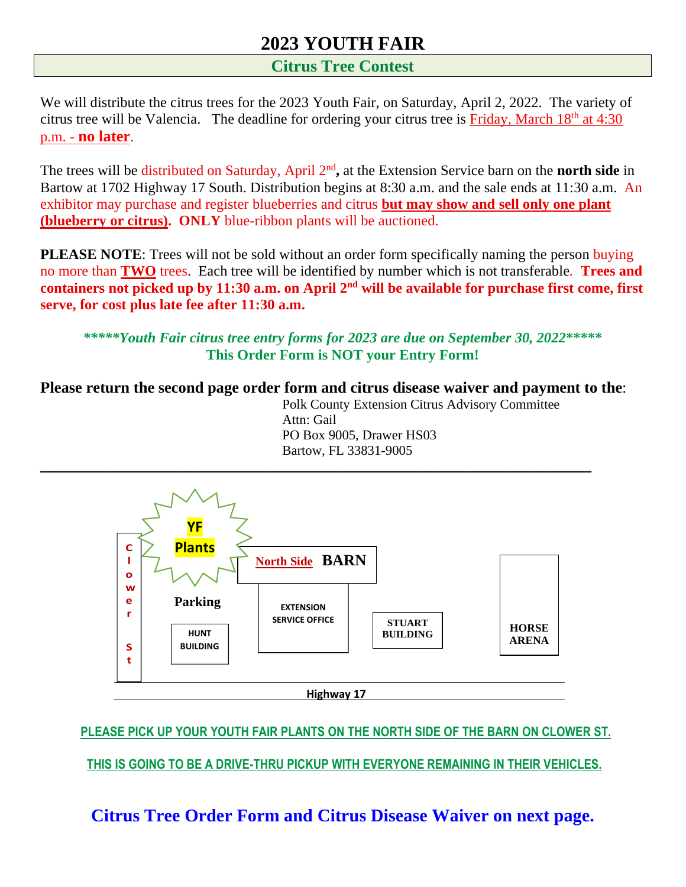## **2023 YOUTH FAIR**

#### **Citrus Tree Contest**

We will distribute the citrus trees for the 2023 Youth Fair, on Saturday, April 2, 2022. The variety of citrus tree will be Valencia. The deadline for ordering your citrus tree is Friday, March 18<sup>th</sup> at 4:30 p.m. - **no later**.

The trees will be distributed on Saturday, April 2<sup>nd</sup>, at the Extension Service barn on the **north side** in Bartow at 1702 Highway 17 South. Distribution begins at 8:30 a.m. and the sale ends at 11:30 a.m. An exhibitor may purchase and register blueberries and citrus **but may show and sell only one plant (blueberry or citrus). ONLY** blue-ribbon plants will be auctioned.

**PLEASE NOTE:** Trees will not be sold without an order form specifically naming the person buying no more than **TWO** trees. Each tree will be identified by number which is not transferable*.* **Trees and containers not picked up by 11:30 a.m. on April 2 nd will be available for purchase first come, first serve, for cost plus late fee after 11:30 a.m.**

*\*\*\*\*\*Youth Fair citrus tree entry forms for 2023 are due on September 30, 2022***\*\*\*\*\* This Order Form is NOT your Entry Form!**

**Please return the second page order form and citrus disease waiver and payment to the**:

Polk County Extension Citrus Advisory Committee Attn: Gail PO Box 9005, Drawer HS03 Bartow, FL 33831-9005



**PLEASE PICK UP YOUR YOUTH FAIR PLANTS ON THE NORTH SIDE OF THE BARN ON CLOWER ST.**

 **THIS IS GOING TO BE A DRIVE-THRU PICKUP WITH EVERYONE REMAINING IN THEIR VEHICLES.**

**Citrus Tree Order Form and Citrus Disease Waiver on next page.**